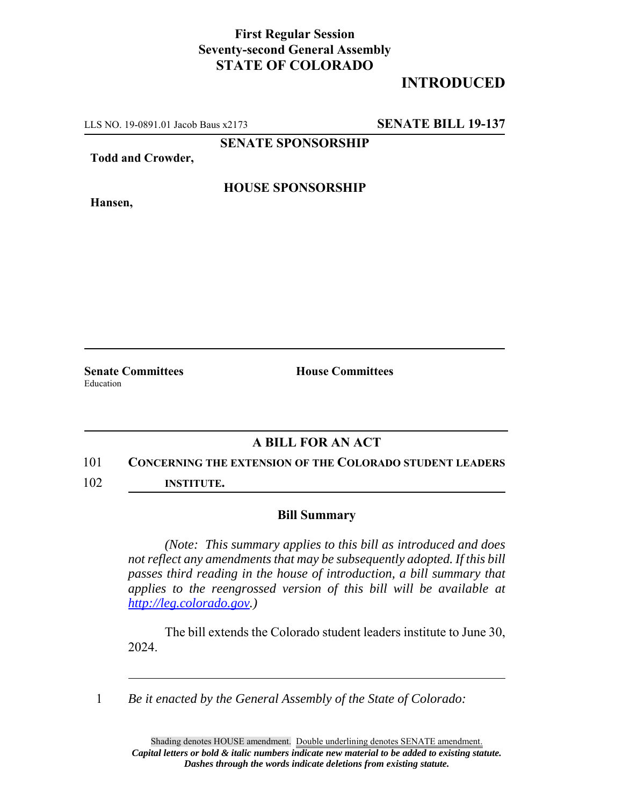## **First Regular Session Seventy-second General Assembly STATE OF COLORADO**

# **INTRODUCED**

LLS NO. 19-0891.01 Jacob Baus x2173 **SENATE BILL 19-137**

**SENATE SPONSORSHIP**

**Todd and Crowder,**

**Hansen,**

#### **HOUSE SPONSORSHIP**

Education

**Senate Committees House Committees** 

### **A BILL FOR AN ACT**

#### 101 **CONCERNING THE EXTENSION OF THE COLORADO STUDENT LEADERS**

102 **INSTITUTE.**

#### **Bill Summary**

*(Note: This summary applies to this bill as introduced and does not reflect any amendments that may be subsequently adopted. If this bill passes third reading in the house of introduction, a bill summary that applies to the reengrossed version of this bill will be available at http://leg.colorado.gov.)*

The bill extends the Colorado student leaders institute to June 30, 2024.

1 *Be it enacted by the General Assembly of the State of Colorado:*

Shading denotes HOUSE amendment. Double underlining denotes SENATE amendment. *Capital letters or bold & italic numbers indicate new material to be added to existing statute. Dashes through the words indicate deletions from existing statute.*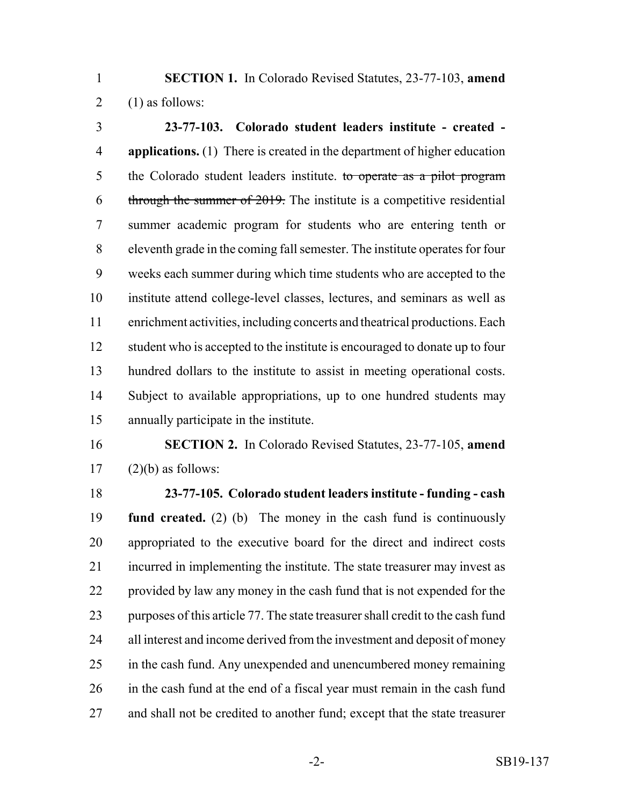**SECTION 1.** In Colorado Revised Statutes, 23-77-103, **amend** 2  $(1)$  as follows:

 **23-77-103. Colorado student leaders institute - created - applications.** (1) There is created in the department of higher education 5 the Colorado student leaders institute. to operate as a pilot program through the summer of 2019. The institute is a competitive residential summer academic program for students who are entering tenth or eleventh grade in the coming fall semester. The institute operates for four weeks each summer during which time students who are accepted to the institute attend college-level classes, lectures, and seminars as well as enrichment activities, including concerts and theatrical productions. Each 12 student who is accepted to the institute is encouraged to donate up to four hundred dollars to the institute to assist in meeting operational costs. Subject to available appropriations, up to one hundred students may annually participate in the institute.

 **SECTION 2.** In Colorado Revised Statutes, 23-77-105, **amend** (2)(b) as follows:

 **23-77-105. Colorado student leaders institute - funding - cash fund created.** (2) (b) The money in the cash fund is continuously appropriated to the executive board for the direct and indirect costs incurred in implementing the institute. The state treasurer may invest as provided by law any money in the cash fund that is not expended for the purposes of this article 77. The state treasurer shall credit to the cash fund 24 all interest and income derived from the investment and deposit of money in the cash fund. Any unexpended and unencumbered money remaining in the cash fund at the end of a fiscal year must remain in the cash fund and shall not be credited to another fund; except that the state treasurer